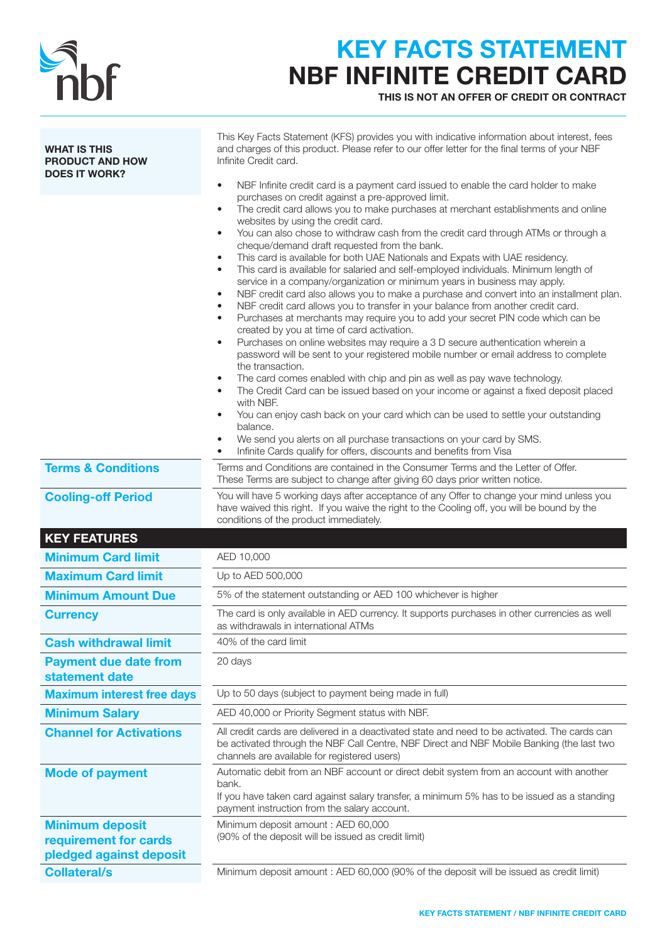

## KEY FACTS STATEMENT NBF INFINITE CREDIT CARD

THIS IS NOT AN OFFER OF CREDIT OR CONTRACT

| <b>WHAT IS THIS</b><br><b>PRODUCT AND HOW</b><br><b>DOES IT WORK?</b>      | This Key Facts Statement (KFS) provides you with indicative information about interest, fees<br>and charges of this product. Please refer to our offer letter for the final terms of your NBF<br>Infinite Credit card.<br>NBF Infinite credit card is a payment card issued to enable the card holder to make<br>$\bullet$                                                                                                                                                                                                                                                                                                                                                                                                                                                                                                                                                                                                                                                                                                                                                                                                                                                                                                                                                                                                                                                                                                                                                                                                                                                                                                      |  |  |
|----------------------------------------------------------------------------|---------------------------------------------------------------------------------------------------------------------------------------------------------------------------------------------------------------------------------------------------------------------------------------------------------------------------------------------------------------------------------------------------------------------------------------------------------------------------------------------------------------------------------------------------------------------------------------------------------------------------------------------------------------------------------------------------------------------------------------------------------------------------------------------------------------------------------------------------------------------------------------------------------------------------------------------------------------------------------------------------------------------------------------------------------------------------------------------------------------------------------------------------------------------------------------------------------------------------------------------------------------------------------------------------------------------------------------------------------------------------------------------------------------------------------------------------------------------------------------------------------------------------------------------------------------------------------------------------------------------------------|--|--|
|                                                                            | purchases on credit against a pre-approved limit.<br>The credit card allows you to make purchases at merchant establishments and online<br>$\bullet$<br>websites by using the credit card.<br>You can also chose to withdraw cash from the credit card through ATMs or through a<br>cheque/demand draft requested from the bank.<br>This card is available for both UAE Nationals and Expats with UAE residency.<br>$\bullet$<br>This card is available for salaried and self-employed individuals. Minimum length of<br>$\bullet$<br>service in a company/organization or minimum years in business may apply.<br>NBF credit card also allows you to make a purchase and convert into an installment plan.<br>$\bullet$<br>NBF credit card allows you to transfer in your balance from another credit card.<br>Purchases at merchants may require you to add your secret PIN code which can be<br>$\bullet$<br>created by you at time of card activation.<br>Purchases on online websites may require a 3 D secure authentication wherein a<br>$\bullet$<br>password will be sent to your registered mobile number or email address to complete<br>the transaction.<br>The card comes enabled with chip and pin as well as pay wave technology.<br>$\bullet$<br>The Credit Card can be issued based on your income or against a fixed deposit placed<br>$\bullet$<br>with NBF.<br>You can enjoy cash back on your card which can be used to settle your outstanding<br>balance.<br>We send you alerts on all purchase transactions on your card by SMS.<br>Infinite Cards qualify for offers, discounts and benefits from Visa |  |  |
| <b>Terms &amp; Conditions</b>                                              | Terms and Conditions are contained in the Consumer Terms and the Letter of Offer.<br>These Terms are subject to change after giving 60 days prior written notice.                                                                                                                                                                                                                                                                                                                                                                                                                                                                                                                                                                                                                                                                                                                                                                                                                                                                                                                                                                                                                                                                                                                                                                                                                                                                                                                                                                                                                                                               |  |  |
| <b>Cooling-off Period</b>                                                  | You will have 5 working days after acceptance of any Offer to change your mind unless you<br>have waived this right. If you waive the right to the Cooling off, you will be bound by the<br>conditions of the product immediately.                                                                                                                                                                                                                                                                                                                                                                                                                                                                                                                                                                                                                                                                                                                                                                                                                                                                                                                                                                                                                                                                                                                                                                                                                                                                                                                                                                                              |  |  |
| <b>KEY FEATURES</b>                                                        |                                                                                                                                                                                                                                                                                                                                                                                                                                                                                                                                                                                                                                                                                                                                                                                                                                                                                                                                                                                                                                                                                                                                                                                                                                                                                                                                                                                                                                                                                                                                                                                                                                 |  |  |
| <b>Minimum Card limit</b>                                                  | AED 10,000                                                                                                                                                                                                                                                                                                                                                                                                                                                                                                                                                                                                                                                                                                                                                                                                                                                                                                                                                                                                                                                                                                                                                                                                                                                                                                                                                                                                                                                                                                                                                                                                                      |  |  |
| <b>Maximum Card limit</b>                                                  | Up to AED 500,000                                                                                                                                                                                                                                                                                                                                                                                                                                                                                                                                                                                                                                                                                                                                                                                                                                                                                                                                                                                                                                                                                                                                                                                                                                                                                                                                                                                                                                                                                                                                                                                                               |  |  |
| <b>Minimum Amount Due</b>                                                  | 5% of the statement outstanding or AED 100 whichever is higher                                                                                                                                                                                                                                                                                                                                                                                                                                                                                                                                                                                                                                                                                                                                                                                                                                                                                                                                                                                                                                                                                                                                                                                                                                                                                                                                                                                                                                                                                                                                                                  |  |  |
| <b>Currency</b>                                                            | The card is only available in AED currency. It supports purchases in other currencies as well<br>as withdrawals in international ATMs                                                                                                                                                                                                                                                                                                                                                                                                                                                                                                                                                                                                                                                                                                                                                                                                                                                                                                                                                                                                                                                                                                                                                                                                                                                                                                                                                                                                                                                                                           |  |  |
| <b>Cash withdrawal limit</b>                                               | 40% of the card limit                                                                                                                                                                                                                                                                                                                                                                                                                                                                                                                                                                                                                                                                                                                                                                                                                                                                                                                                                                                                                                                                                                                                                                                                                                                                                                                                                                                                                                                                                                                                                                                                           |  |  |
| <b>Payment due date from</b><br>statement date                             | 20 days                                                                                                                                                                                                                                                                                                                                                                                                                                                                                                                                                                                                                                                                                                                                                                                                                                                                                                                                                                                                                                                                                                                                                                                                                                                                                                                                                                                                                                                                                                                                                                                                                         |  |  |
| <b>Maximum interest free days</b>                                          | Up to 50 days (subject to payment being made in full)                                                                                                                                                                                                                                                                                                                                                                                                                                                                                                                                                                                                                                                                                                                                                                                                                                                                                                                                                                                                                                                                                                                                                                                                                                                                                                                                                                                                                                                                                                                                                                           |  |  |
| <b>Minimum Salary</b>                                                      | AED 40,000 or Priority Segment status with NBF.                                                                                                                                                                                                                                                                                                                                                                                                                                                                                                                                                                                                                                                                                                                                                                                                                                                                                                                                                                                                                                                                                                                                                                                                                                                                                                                                                                                                                                                                                                                                                                                 |  |  |
| <b>Channel for Activations</b>                                             | All credit cards are delivered in a deactivated state and need to be activated. The cards can<br>be activated through the NBF Call Centre, NBF Direct and NBF Mobile Banking (the last two<br>channels are available for registered users)                                                                                                                                                                                                                                                                                                                                                                                                                                                                                                                                                                                                                                                                                                                                                                                                                                                                                                                                                                                                                                                                                                                                                                                                                                                                                                                                                                                      |  |  |
| <b>Mode of payment</b>                                                     | Automatic debit from an NBF account or direct debit system from an account with another<br>bank.<br>If you have taken card against salary transfer, a minimum 5% has to be issued as a standing<br>payment instruction from the salary account.                                                                                                                                                                                                                                                                                                                                                                                                                                                                                                                                                                                                                                                                                                                                                                                                                                                                                                                                                                                                                                                                                                                                                                                                                                                                                                                                                                                 |  |  |
| <b>Minimum deposit</b><br>requirement for cards<br>pledged against deposit | Minimum deposit amount : AED 60,000<br>(90% of the deposit will be issued as credit limit)                                                                                                                                                                                                                                                                                                                                                                                                                                                                                                                                                                                                                                                                                                                                                                                                                                                                                                                                                                                                                                                                                                                                                                                                                                                                                                                                                                                                                                                                                                                                      |  |  |
| <b>Collateral/s</b>                                                        | Minimum deposit amount : AED 60,000 (90% of the deposit will be issued as credit limit)                                                                                                                                                                                                                                                                                                                                                                                                                                                                                                                                                                                                                                                                                                                                                                                                                                                                                                                                                                                                                                                                                                                                                                                                                                                                                                                                                                                                                                                                                                                                         |  |  |
|                                                                            |                                                                                                                                                                                                                                                                                                                                                                                                                                                                                                                                                                                                                                                                                                                                                                                                                                                                                                                                                                                                                                                                                                                                                                                                                                                                                                                                                                                                                                                                                                                                                                                                                                 |  |  |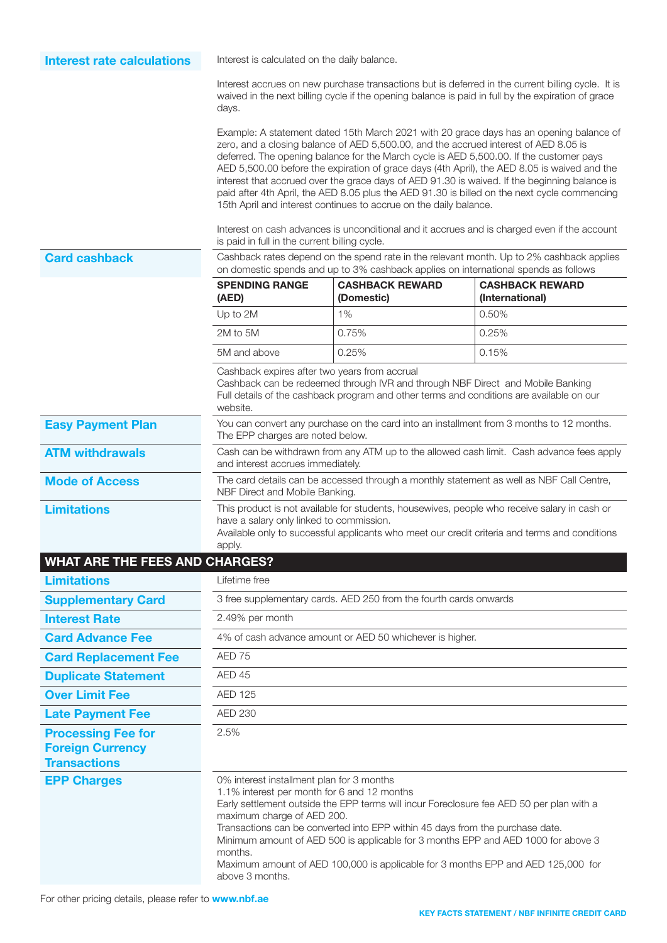Interest rate calculations Interest is calculated on the daily balance.

Interest accrues on new purchase transactions but is deferred in the current billing cycle. It is waived in the next billing cycle if the opening balance is paid in full by the expiration of grace days.

Example: A statement dated 15th March 2021 with 20 grace days has an opening balance of zero, and a closing balance of AED 5,500.00, and the accrued interest of AED 8.05 is deferred. The opening balance for the March cycle is AED 5,500.00. If the customer pays AED 5,500.00 before the expiration of grace days (4th April), the AED 8.05 is waived and the interest that accrued over the grace days of AED 91.30 is waived. If the beginning balance is paid after 4th April, the AED 8.05 plus the AED 91.30 is billed on the next cycle commencing 15th April and interest continues to accrue on the daily balance.

Interest on cash advances is unconditional and it accrues and is charged even if the account is paid in full in the current billing cycle.

 $\overline{\phantom{a}}$ İ  $\overline{a}$ 

Card cashback Cashback rates depend on the spend rate in the relevant month. Up to 2% cashback applies on domestic spends and up to 3% cashback applies on international spends as follows

|                                                                             | <b>SPENDING RANGE</b><br>(AED)                                                                                                | <b>CASHBACK REWARD</b><br>(Domestic)                                           | <b>CASHBACK REWARD</b><br>(International)                                                                                                                                                     |
|-----------------------------------------------------------------------------|-------------------------------------------------------------------------------------------------------------------------------|--------------------------------------------------------------------------------|-----------------------------------------------------------------------------------------------------------------------------------------------------------------------------------------------|
|                                                                             | Up to 2M                                                                                                                      | 1%                                                                             | 0.50%                                                                                                                                                                                         |
|                                                                             | 2M to 5M                                                                                                                      | 0.75%                                                                          | 0.25%                                                                                                                                                                                         |
|                                                                             | 5M and above                                                                                                                  | 0.25%                                                                          | 0.15%                                                                                                                                                                                         |
|                                                                             | Cashback expires after two years from accrual<br>website.                                                                     | Cashback can be redeemed through IVR and through NBF Direct and Mobile Banking | Full details of the cashback program and other terms and conditions are available on our                                                                                                      |
| <b>Easy Payment Plan</b>                                                    | The EPP charges are noted below.                                                                                              |                                                                                | You can convert any purchase on the card into an installment from 3 months to 12 months.                                                                                                      |
| <b>ATM withdrawals</b>                                                      | Cash can be withdrawn from any ATM up to the allowed cash limit. Cash advance fees apply<br>and interest accrues immediately. |                                                                                |                                                                                                                                                                                               |
| <b>Mode of Access</b>                                                       | The card details can be accessed through a monthly statement as well as NBF Call Centre,<br>NBF Direct and Mobile Banking.    |                                                                                |                                                                                                                                                                                               |
| <b>Limitations</b>                                                          | have a salary only linked to commission.<br>apply.                                                                            |                                                                                | This product is not available for students, housewives, people who receive salary in cash or<br>Available only to successful applicants who meet our credit criteria and terms and conditions |
| <b>WHAT ARE THE FEES AND CHARGES?</b>                                       |                                                                                                                               |                                                                                |                                                                                                                                                                                               |
| <b>Limitations</b>                                                          | Lifetime free                                                                                                                 |                                                                                |                                                                                                                                                                                               |
| <b>Supplementary Card</b>                                                   |                                                                                                                               | 3 free supplementary cards. AED 250 from the fourth cards onwards              |                                                                                                                                                                                               |
| <b>Interest Rate</b>                                                        | 2.49% per month                                                                                                               |                                                                                |                                                                                                                                                                                               |
| <b>Card Advance Fee</b>                                                     |                                                                                                                               | 4% of cash advance amount or AED 50 whichever is higher.                       |                                                                                                                                                                                               |
| <b>Card Replacement Fee</b>                                                 | AED 75                                                                                                                        |                                                                                |                                                                                                                                                                                               |
| <b>Duplicate Statement</b>                                                  | AED 45                                                                                                                        |                                                                                |                                                                                                                                                                                               |
| <b>Over Limit Fee</b>                                                       | <b>AED 125</b>                                                                                                                |                                                                                |                                                                                                                                                                                               |
| <b>Late Payment Fee</b>                                                     | <b>AED 230</b>                                                                                                                |                                                                                |                                                                                                                                                                                               |
| <b>Processing Fee for</b><br><b>Foreign Currency</b><br><b>Transactions</b> | 2.5%                                                                                                                          |                                                                                |                                                                                                                                                                                               |
| <b>EPP Charges</b>                                                          | 0% interest installment plan for 3 months<br>1.1% interest per month for 6 and 12 months<br>maximum charge of AED 200.        | Transactions can be converted into EPP within 45 days from the purchase date.  | Early settlement outside the EPP terms will incur Foreclosure fee AED 50 per plan with a<br>Minimum amount of AED 500 is applicable for 3 months EPP and AED 1000 for above 3                 |

months.

above 3 months.

Maximum amount of AED 100,000 is applicable for 3 months EPP and AED 125,000 for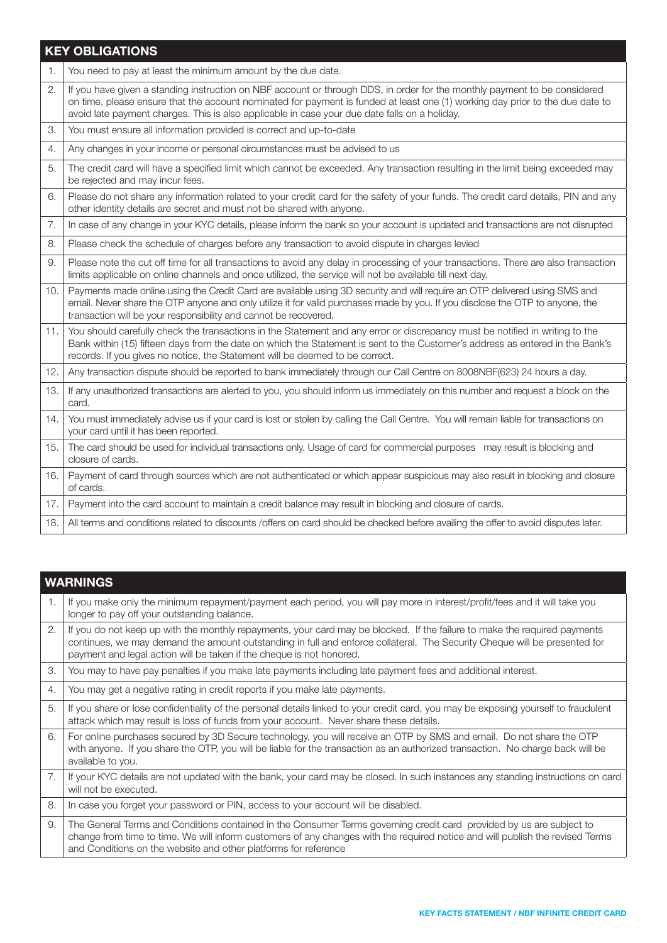### KEY OBLIGATIONS

|                | <b>NET OPLIGATIONS</b>                                                                                                                                                                                                                                                                                                                                      |
|----------------|-------------------------------------------------------------------------------------------------------------------------------------------------------------------------------------------------------------------------------------------------------------------------------------------------------------------------------------------------------------|
| $\mathbf{1}$ . | You need to pay at least the minimum amount by the due date.                                                                                                                                                                                                                                                                                                |
| 2.             | If you have given a standing instruction on NBF account or through DDS, in order for the monthly payment to be considered<br>on time, please ensure that the account nominated for payment is funded at least one (1) working day prior to the due date to<br>avoid late payment charges. This is also applicable in case your due date falls on a holiday. |
| 3.             | You must ensure all information provided is correct and up-to-date                                                                                                                                                                                                                                                                                          |
| 4.             | Any changes in your income or personal circumstances must be advised to us                                                                                                                                                                                                                                                                                  |
| 5.             | The credit card will have a specified limit which cannot be exceeded. Any transaction resulting in the limit being exceeded may<br>be rejected and may incur fees.                                                                                                                                                                                          |
| 6.             | Please do not share any information related to your credit card for the safety of your funds. The credit card details, PIN and any<br>other identity details are secret and must not be shared with anyone.                                                                                                                                                 |
| 7.             | In case of any change in your KYC details, please inform the bank so your account is updated and transactions are not disrupted                                                                                                                                                                                                                             |
| 8.             | Please check the schedule of charges before any transaction to avoid dispute in charges levied                                                                                                                                                                                                                                                              |
| 9.             | Please note the cut off time for all transactions to avoid any delay in processing of your transactions. There are also transaction<br>limits applicable on online channels and once utilized, the service will not be available till next day.                                                                                                             |
| 10.            | Payments made online using the Credit Card are available using 3D security and will require an OTP delivered using SMS and<br>email. Never share the OTP anyone and only utilize it for valid purchases made by you. If you disclose the OTP to anyone, the<br>transaction will be your responsibility and cannot be recovered.                             |
| 11.            | You should carefully check the transactions in the Statement and any error or discrepancy must be notified in writing to the<br>Bank within (15) fifteen days from the date on which the Statement is sent to the Customer's address as entered in the Bank's<br>records. If you gives no notice, the Statement will be deemed to be correct.               |
| 12.            | Any transaction dispute should be reported to bank immediately through our Call Centre on 8008NBF(623) 24 hours a day.                                                                                                                                                                                                                                      |
| 13.            | If any unauthorized transactions are alerted to you, you should inform us immediately on this number and request a block on the<br>card.                                                                                                                                                                                                                    |
| 14.            | You must immediately advise us if your card is lost or stolen by calling the Call Centre. You will remain liable for transactions on<br>your card until it has been reported.                                                                                                                                                                               |
| 15.            | The card should be used for individual transactions only. Usage of card for commercial purposes may result is blocking and<br>closure of cards.                                                                                                                                                                                                             |
| 16.            | Payment of card through sources which are not authenticated or which appear suspicious may also result in blocking and closure<br>of cards.                                                                                                                                                                                                                 |
| 17.            | Payment into the card account to maintain a credit balance may result in blocking and closure of cards.                                                                                                                                                                                                                                                     |
| 18.            | All terms and conditions related to discounts /offers on card should be checked before availing the offer to avoid disputes later.                                                                                                                                                                                                                          |
|                |                                                                                                                                                                                                                                                                                                                                                             |

|    | <b>WARNINGS</b>                                                                                                                                                                                                                                                                                                                |
|----|--------------------------------------------------------------------------------------------------------------------------------------------------------------------------------------------------------------------------------------------------------------------------------------------------------------------------------|
| 1. | If you make only the minimum repayment/payment each period, you will pay more in interest/profit/fees and it will take you<br>longer to pay off your outstanding balance.                                                                                                                                                      |
| 2. | If you do not keep up with the monthly repayments, your card may be blocked. If the failure to make the required payments<br>continues, we may demand the amount outstanding in full and enforce collateral. The Security Cheque will be presented for<br>payment and legal action will be taken if the cheque is not honored. |
| 3. | You may to have pay penalties if you make late payments including late payment fees and additional interest.                                                                                                                                                                                                                   |
| 4. | You may get a negative rating in credit reports if you make late payments.                                                                                                                                                                                                                                                     |
| 5. | If you share or lose confidentiality of the personal details linked to your credit card, you may be exposing yourself to fraudulent<br>attack which may result is loss of funds from your account. Never share these details.                                                                                                  |
| 6. | For online purchases secured by 3D Secure technology, you will receive an OTP by SMS and email. Do not share the OTP<br>with anyone. If you share the OTP, you will be liable for the transaction as an authorized transaction. No charge back will be<br>available to you.                                                    |
| 7. | If your KYC details are not updated with the bank, your card may be closed. In such instances any standing instructions on card<br>will not be executed.                                                                                                                                                                       |
| 8. | In case you forget your password or PIN, access to your account will be disabled.                                                                                                                                                                                                                                              |
| 9. | The General Terms and Conditions contained in the Consumer Terms governing credit card provided by us are subject to<br>change from time to time. We will inform customers of any changes with the required notice and will publish the revised Terms<br>and Conditions on the website and other platforms for reference       |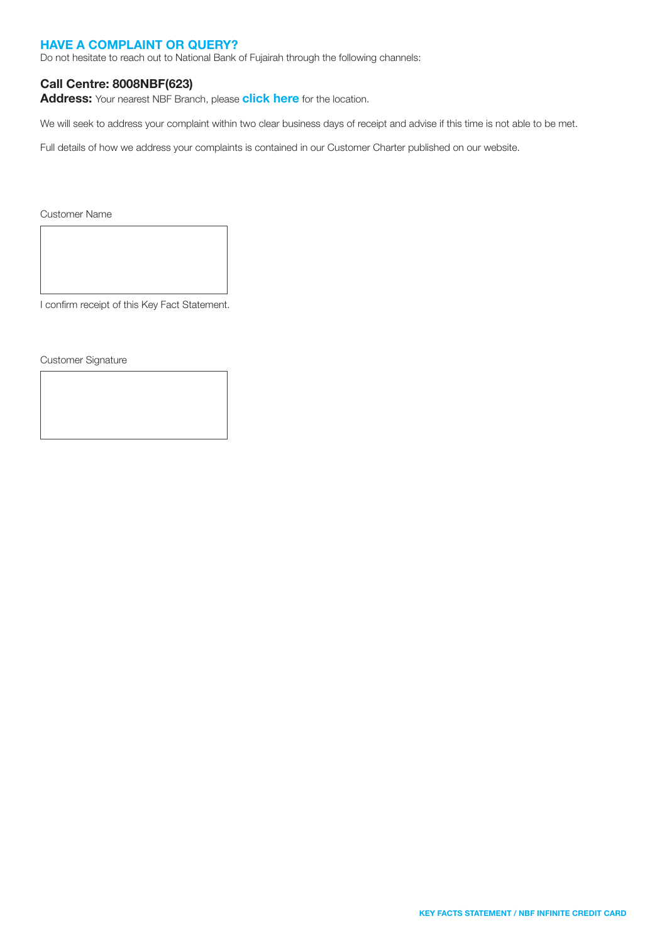#### HAVE A COMPLAINT OR QUERY?

Do not hesitate to reach out to National Bank of Fujairah through the following channels:

#### Call Centre: 8008NBF(623)

Address: Your nearest NBF Branch, please [click here](https://nbf.ae/en/contact/locations) for the location.

We will seek to address your complaint within two clear business days of receipt and advise if this time is not able to be met.

Full details of how we address your complaints is contained in our Customer Charter published on our website.

Customer Name

I confirm receipt of this Key Fact Statement.

Customer Signature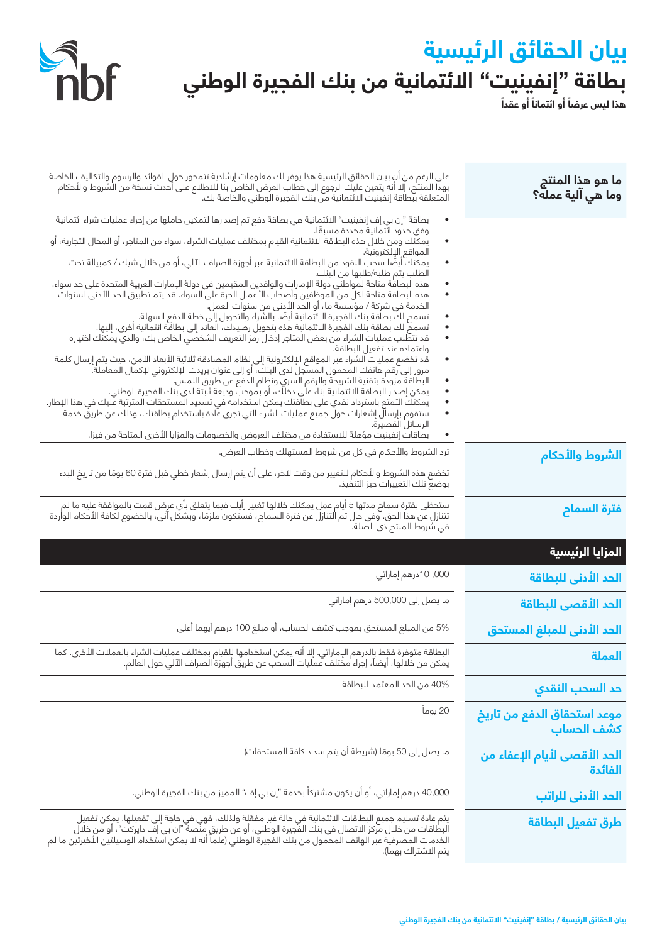# **بيان الحقائق الرئيسية** بطاقة "إنفينيت" ال*ا*ئتمانية من بنك الفجيرة الوطني<br>هذا ليس عرضاً أو التماناَ أو عقداً

Shof



| ما هو هذا المنتج<br>وما هي آلية عمله؟     | على الرغم من أن بيان الحقائق الرئيسية هذا يوفر لك معلومات إرشادية تتمحور حول الفوائد والرسوم والتكاليف الخاصة<br>بهذا المنتج، إلا أنه يتعين عليك الرجوع إلى خطاب العرض الخاص بنا للاطلاع على أحدث نسخة من الشروط والأحكام<br>المتعل                                                                 |
|-------------------------------------------|-----------------------------------------------------------------------------------------------------------------------------------------------------------------------------------------------------------------------------------------------------------------------------------------------------|
|                                           | بطاقة "إن بي إف إنفينيت" الائتمانية هي بطاقة دفع تم إصدارها لتمكين حاملها من إجراء عمليات شراء ائتمانية                                                                                                                                                                                             |
|                                           | وفق حدود ائتمانية محددة مسبقًا.<br>يمكنك ومن خلال هذه البطاقة الائتمانية القيام بمختلف عمليات الشراء، سواء من المتاجر، أو المحال التجارية، أو<br>"<br>٠<br>المواقع الإلكترونية.                                                                                                                     |
|                                           | يمكنك أيضًا سحب النقود من البطاقة الائتمانية عبر أجهزة الصراف الآلي، أو من خلال شيك / كمبيالة تحت<br>الطلب يتم طلبه/طلبها من البنك.                                                                                                                                                                 |
|                                           | هذه البطاقة متاحة لمواطني دولة الإمارات والوافدين المقيمين في دولة الإمارات العربية المتحدة على حد سواء.<br>هذه البطاقة متاحة لكل من الموظفين وأصحاب الأعمال الحرة على السواء. قد يتم تطبيق الحد الأدنى لسنوات                                                                                      |
|                                           | الخدمة في شركة / مؤسسة ما، او الحد الأدنى من سنوات العمل.<br>تسمح لك بطاقة بنك الفجيرة الائتمانية أيضًا بالشراء والتحويل إلى خطة الدفع السهلة.<br>تسمح لك بطاقة بنك الفجيرة الائتمانية هذه بتحويل رصيدك، الْعاَئد إلى بطاقَّة ائتمانية أخرى، إليها.                                                 |
|                                           | قد تتطّلب عمليات الشراء من بعض المتاجر إدخال رمز التعريف الشخصي الخاص بك، والذي يمكنك اختياره<br>واعتماده عند تفعيل البطاقة.                                                                                                                                                                        |
|                                           | قد تخضع عمليات الشراء عبر المواقع الإلكترونية إلى نظام المصادقة ثلاثية الأبعاد الآمن، حيث يتم إرسال كلمة<br>مرور إلى رقم هاتفك المحمول المسجل لدى البنك، أو إلى عنوان بريدك الإلكتروني لإكمال المعاملة.<br>البطاقة مزودة بتقنية الشريحة والرقم السري ونظام الدفع عن طريق اللمس.                     |
|                                           | يمكن إصدار البطاقة الائتمانية بناء على دخلك، أو بموجب وديعة ثابتة لدى بنك الفجيرة الوطني.<br>يمكنك التمتع باسترداد نقدي على بطاقتك يمكن استخدامه في تسديد المستحقات المترتبة عليك في هذا الإطار.<br>ستقوم بإرسالَ إشعارات حول جميع عمليات الشراء التي تجرى عادة باستخدام بطاقتك، وذلك عن طريقَ خدمة |
|                                           | الرسائل القصيرة.<br>بطاقات إنفينيت مؤهلة للاستفادة من مختلف العروض والخصومات والمزايا الأخرى المتاحة من فيزا.                                                                                                                                                                                       |
| الشروط والأحكام                           | ترد الشروط والأحكام في كل من شروط المستهلك وخطاب العرض.                                                                                                                                                                                                                                             |
|                                           | تخضع هذه الشروط والأحكام للتغيير من وقت لآخر، على أن يتم إرسال إشعار خطي قبل فترة 60 يومًا من تاريخ البدء<br>بوضع تلك التغييرات حيز التنفيذ.                                                                                                                                                        |
| فترة السماح                               | ستحظى بفترة سماح مدتها 5 أيام عمل يمكنك خلالها تغيير رأيك فيما يتعلق بأي عرض قمت بالموافقة عليه ما لم<br>تتنازل عن هذا الحق. وهي حال تم التنازل عن فترة السماح، فستكون ملزمًا، وبشكل آني، بالخضوع لكافة الأحكام الواردة<br>في شروط المنتج ذي الصلة.                                                 |
| المزايا الرئيسية                          |                                                                                                                                                                                                                                                                                                     |
| الحد الأدنى للبطاقة                       | 000, 10درهم إماراتي                                                                                                                                                                                                                                                                                 |
| الحد الأقصى للبطاقة                       | ما يصل إلى 500,000 درهم إماراتي                                                                                                                                                                                                                                                                     |
| الحد الأدنى للمبلغ المستحق                | 5% من المبلغ المستحق بموجب كشف الحساب، أو مبلغ 100 درهم أيهما أعلى                                                                                                                                                                                                                                  |
| العملة                                    | البطاقة متوفرة فقط بِالدرهم الإماراتي. إلا أنه يمكن استخدامها لِلقيام بمختلف عمليات الشراء بالعملات الأخرى. كما<br>يمكن من خلالها، أيضاً، إجراء مختلف عمليات السحب عن طريق أجهزة الصراف الآلي حول العالم.                                                                                           |
| حد السحب النقدى                           | 40% من الحد المعتمد للبطاقة                                                                                                                                                                                                                                                                         |
| موعد استحقاق الدفع من تاريخ<br>كشف الحساب | 20 يوماً                                                                                                                                                                                                                                                                                            |
| الحد الأقصى لأيام الإعفاء من<br>الفائدة   | ما يصل إلى 50 يومًا (شريطة أن يتم سداد كافة المستحقات)                                                                                                                                                                                                                                              |
|                                           |                                                                                                                                                                                                                                                                                                     |
| الحد الأدنى للراتب                        | 40,000 درهم إماراتي، أو أن يكون مشتركاً بخدمة "إن بي إف" المميز من بنك الفجيرة الوطني.                                                                                                                                                                                                              |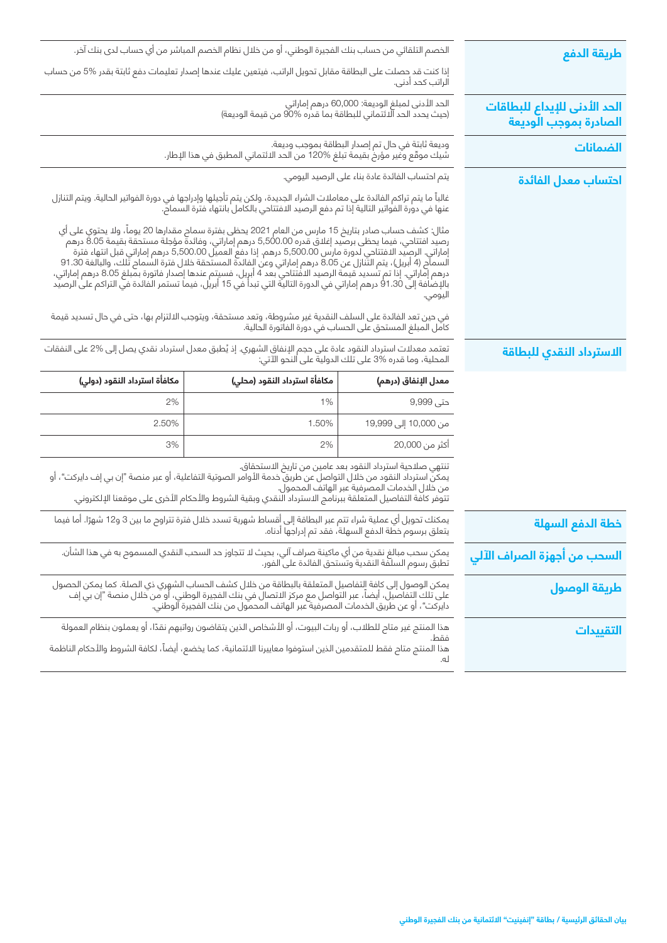|                                                       |                                                                                                                                                                                                                                                                                                                                                                                                                                                                                                                                                                                                                                                                                                  | الخصم التلقائي من حساب بنك الفجيرة الوطني، أو من خلال نظام الخصم المباشر من أي حساب لدى بنك آخر.                                                                                                                               |                              |  |
|-------------------------------------------------------|--------------------------------------------------------------------------------------------------------------------------------------------------------------------------------------------------------------------------------------------------------------------------------------------------------------------------------------------------------------------------------------------------------------------------------------------------------------------------------------------------------------------------------------------------------------------------------------------------------------------------------------------------------------------------------------------------|--------------------------------------------------------------------------------------------------------------------------------------------------------------------------------------------------------------------------------|------------------------------|--|
| طريقة الدفع                                           |                                                                                                                                                                                                                                                                                                                                                                                                                                                                                                                                                                                                                                                                                                  | إذا كنت قد حصلت على البطاقة مقابل تحويل الراتب، فيتعين عليك عندها إصدار تعليمات دفع ثابتة بقدر %5 من حساب                                                                                                                      |                              |  |
|                                                       | الراتب كحد أدنى.                                                                                                                                                                                                                                                                                                                                                                                                                                                                                                                                                                                                                                                                                 |                                                                                                                                                                                                                                |                              |  |
| الحد الأدنى للإيداع للبطاقات<br>الصادرة بموجب الوديعة | الحد الأدنى لمبلغ الوديعة: 60,000 درهم إماراتي<br>(حيث يحدد الحد الائتماني للبطاقة بما قدره %90 من قيمة الوديعة)                                                                                                                                                                                                                                                                                                                                                                                                                                                                                                                                                                                 |                                                                                                                                                                                                                                |                              |  |
| الضمانات                                              | وديعة ثابتة في حال تم إصدار البطاقة بموجب وديعة.<br>شيك موقّع وغير مؤرخ بقيمة تبلغ %120 من الحد الائتماني المطبق في هذا الإطار.                                                                                                                                                                                                                                                                                                                                                                                                                                                                                                                                                                  |                                                                                                                                                                                                                                |                              |  |
| احتساب معدل الفائدة                                   | يتم احتساب الفائدة عادة بناء على الرصيد اليومي.                                                                                                                                                                                                                                                                                                                                                                                                                                                                                                                                                                                                                                                  |                                                                                                                                                                                                                                |                              |  |
|                                                       |                                                                                                                                                                                                                                                                                                                                                                                                                                                                                                                                                                                                                                                                                                  | غالباً ما يتم تراكم الفائدة على معاملات الشراء الجديدة، ولكن يتم تأجيلها وإدراجها في دورة الفواتير الحالية. ويتم التنازل<br>عنها في دورة الفواتير التالية إذا تم دفع الرصيد الافتتاحي بالكامل بانتهاء فترة السماح.             |                              |  |
|                                                       | مثال: كشف حساب صادر بتاريخ 15 مارس من العام 2021 يحظى بفترة سماح مقدارها 20 يوماً، ولا يحتوي على أي<br>رصيد افتتاحي، فيما يحظى برصيد إغلاق قدره 5,500.00 درهم إماراتي، وفائدة مؤجلة مستحقة بقيمة 8.05 درهم<br>إماراتي. الرصِيد الدفتتاحي لدورة مارس 5,500.00 درهم. إذا دفع العميل 5,500.00 درهم إماراتي قبل انتهاء فترة<br>السمآم (4 أبريل)، يتم التَّنازل عن 8.05 درهم إماراتي وعن الفائدة المستحقة خلال فترة السمام تَّلك، والبالغة 91.30<br>درهم إماراتي. إذا تم تسديد قيمة الرصيد الافتتاحي بعد 4 أبريل، فسيتم عندها إصدار فاتورة بمّبلغ 8.05 درهم إماراتي،<br>بالإضافة إلىّ 91.30 درهم إماراتي في الدورة التالية التي تبدأ في 15 أبريل، فيما تستمر الفائدة في التراكم على الرصيد<br>اليومي. |                                                                                                                                                                                                                                |                              |  |
|                                                       | فى حين تعد الفائدة على السلف النقدية غير مشروطة، وتعد مستحقة، ويتوجب الالتزام بها، حتى في حال تسديد قيمة<br>كامل المبلغ المستحق على الحساب في دورة الفاتورة الحالية.                                                                                                                                                                                                                                                                                                                                                                                                                                                                                                                             |                                                                                                                                                                                                                                |                              |  |
| الاسترداد النقدي للبطاقة                              | تعتمد معدلات استرداد النقود عادة على حجم الإنفاق الشهري. إذ يُطبق معدل استرداد نقدي يصل إلى %2 على النفقات<br>المحلية، وما قدره %3 على تلك الدوليةَ على النحو الآتي:                                                                                                                                                                                                                                                                                                                                                                                                                                                                                                                             |                                                                                                                                                                                                                                |                              |  |
|                                                       | معدل الإنفاق (درهم)                                                                                                                                                                                                                                                                                                                                                                                                                                                                                                                                                                                                                                                                              | مكافأة استرداد النقود (محلى)                                                                                                                                                                                                   | مكافأة استرداد النقود (دولي) |  |
|                                                       | حتى 9,999                                                                                                                                                                                                                                                                                                                                                                                                                                                                                                                                                                                                                                                                                        | 1%                                                                                                                                                                                                                             | 2%                           |  |
|                                                       | من 10,000 إلى 19,999                                                                                                                                                                                                                                                                                                                                                                                                                                                                                                                                                                                                                                                                             | 1.50%                                                                                                                                                                                                                          | 2.50%                        |  |
|                                                       | أكثر من 20,000                                                                                                                                                                                                                                                                                                                                                                                                                                                                                                                                                                                                                                                                                   | 2%                                                                                                                                                                                                                             | 3%                           |  |
|                                                       | تنتهي صلاحية استرداد النقود بعد عامين من تاريخ الاستحقاق.<br>يمكِّن استرداد النقود من خلال التواصل عن طريق خدمة الأوامر الصوتية التفاعلية، أو عبر منصة "إن بي إف دايركت"، أو<br>من خلال الخدمات المصرفية عبر الهاتف المحمول.<br>تتوفر كافة التفاصيل المتعلقة ببرنامج الاسترداد النقدي وبقية الشروط والأحكام الأخرى على موقعنا الإلكتروني.                                                                                                                                                                                                                                                                                                                                                        |                                                                                                                                                                                                                                |                              |  |
| خطة الدفع السهلة                                      | يمكنك تحويل أي عملية شراء تتم عبر البطاقة إلى أقساط شهرية تسدد خلال فترة تتراوح ما بين 3 و12 شهرًا. أما فيما<br>يتعلق برسوم خطة الدفع السهلة، فقد تم إدراجها أدناه.                                                                                                                                                                                                                                                                                                                                                                                                                                                                                                                              |                                                                                                                                                                                                                                |                              |  |
| السحب من أجهزة الصراف الآلي                           | يمكن سحب مبالغ نقدية من أي ماكينة صراف آلي، بحيث لا تتجاوز حد السحب النقدي المسموح به في هذا الشأن.<br>تطبق رسوم السلفة النقدية وتستحق الفائدة على الفور.                                                                                                                                                                                                                                                                                                                                                                                                                                                                                                                                        |                                                                                                                                                                                                                                |                              |  |
| طريقة الوصول                                          | يمكن الوصول إلى كافة التفاصيل المتعلقة بالبطاقة من خلال كشف الحساب الشهري ذي الصلة. كما يمكن الحصول<br>على تلك التفاصيل، أيضاً، عبر التواصل مع مركز الاتصال في بنك الفجيرة الوطني، أو من خلال منصة "إن بي إف<br>دايركت"، أو عن طريق                                                                                                                                                                                                                                                                                                                                                                                                                                                              |                                                                                                                                                                                                                                |                              |  |
| التقييدات                                             | فقط.<br>له.                                                                                                                                                                                                                                                                                                                                                                                                                                                                                                                                                                                                                                                                                      | هذا المنتج غير متاح للطلاب، أو ربات البيوت، أو الأشخاص الذين يتقاضون رواتبهم نقدًا، أو يعملون بنظام العمولة<br>هذا المنتج متاح فقط للمتقدمين الذين استوفوا معاييرنا الائتمانية، كما يخضع، أيضاً، لكافة الشروط والأحكام الناظمة |                              |  |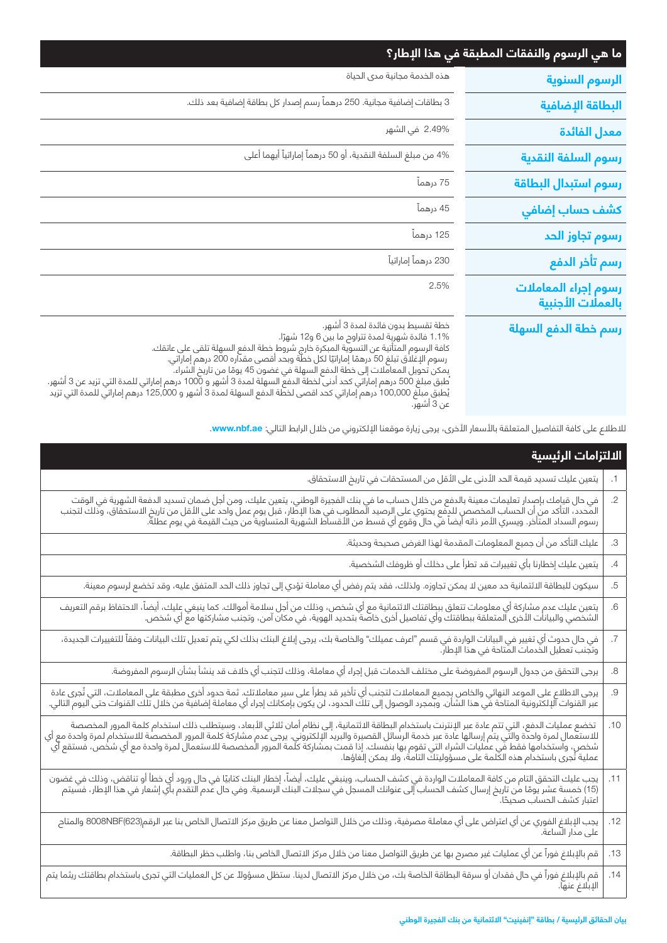| ما هي الرسوم والنفقات المطبقة في هذا الإطار؟ |                                                                                                                                                                                                                                                                                                                                                                                                                                                                                                                                                                                                         |
|----------------------------------------------|---------------------------------------------------------------------------------------------------------------------------------------------------------------------------------------------------------------------------------------------------------------------------------------------------------------------------------------------------------------------------------------------------------------------------------------------------------------------------------------------------------------------------------------------------------------------------------------------------------|
| الرسوم السنوية                               | هذه الخدمة مجانية مدى الحياة                                                                                                                                                                                                                                                                                                                                                                                                                                                                                                                                                                            |
| البطاقة الإضافية                             | 3 بطاقات إضافية مجانية. 250 درهماً رسم إصدار كل بطاقة إضافية بعد ذلك.                                                                                                                                                                                                                                                                                                                                                                                                                                                                                                                                   |
| معدل الفائدة                                 | 2.49% في الشهر                                                                                                                                                                                                                                                                                                                                                                                                                                                                                                                                                                                          |
| رسوم السلفة النقدية                          | 4% من مبلغ السلفة النقدية، أو 50 درهماً إماراتياً أيهما أعلى                                                                                                                                                                                                                                                                                                                                                                                                                                                                                                                                            |
| رسوم استبدال البطاقة                         | 75 درهماً                                                                                                                                                                                                                                                                                                                                                                                                                                                                                                                                                                                               |
| كشف حساب إضافي                               | 45 درهماً                                                                                                                                                                                                                                                                                                                                                                                                                                                                                                                                                                                               |
| رسوم تجاوز الحد                              | 125 درهماً                                                                                                                                                                                                                                                                                                                                                                                                                                                                                                                                                                                              |
| رسم تأخر الدفع                               | 230 درهماً إماراتياً                                                                                                                                                                                                                                                                                                                                                                                                                                                                                                                                                                                    |
| رسوم إجراء المعاملات<br>بالعملات الأجنبية    | 2.5%                                                                                                                                                                                                                                                                                                                                                                                                                                                                                                                                                                                                    |
| رسم خطة الدفع السهلة                         | خطة تقسيط بدون فائدة لمدة 3 أشهر.<br>1.1% فائدة شهرية لمدة تتراوح ما بين 6 و12 شهرًا.<br>كافة الرسوم المتأتية عن التسوية المبكرة خارج شروط خطة الدفع السهلة تلقى على عاتقك.<br>رسوم الإغلاق تبلغ 50 درهمًا إماراتيًا لكل خطّة وبحد أقصى مقدّاره 200 درهم إماراتي.<br>بمكن تحويل المعاملات إلى خطة الدفع السهلة في غضون 45 يومًا من تاريخ الشراء. ۖ<br>ُطبق مبلغ 500 درهم إماراتي كحد أدنى لخطة الدفع السهلة لمدة 3 أشهر و 1000 درهم إماراتي للمدة التي تزيد عن 3 أشهر.<br>يُطبق مبلّغ 100,000 درهم إماراتي كحد اقصى لخطّة الدفع السهلة لمدة 3 أشهر و 125,000 درهم إماراتي للمدة التي تزيد<br>عن 3 أشهر. |

للاطلاع على كافة التفاصيل المتعلقة بالأسعار الأخرى، يرجى زيارة موقعنا الإلكتروني من خلال الرابط التالي: **www.nbf.ae.** 

| الالتزامات الرئيسية                                                                                                                                                                                                              |                          |
|----------------------------------------------------------------------------------------------------------------------------------------------------------------------------------------------------------------------------------|--------------------------|
| يتعين عليك تسديد قيمة الحد الأدنى على الأقل من المستحقات في تاريخ الاستحقاق.                                                                                                                                                     | .1                       |
| في حال قيامك بإصدار تعليمات معينة بالدفع من خلال حساب ما في بنك الفجيرة الوطني، يتعين عليك، ومن أجل ضمان تسديد الدفعة الشهرية في الوقت<br>المحدد، التأكد من أن الحساب المخصص للدفع يحتوي على الرصيد المطلوب في هذا الإطار، قبل ي | $\overline{.2}$          |
| عليك التأكد من أن جميع المعلومات المقدمة لهذا الغرض صحيحة وحديثة.                                                                                                                                                                | $.3\,$                   |
| يتعين عليك إخطارنا بأي تغييرات قد تطرأ على دخلك أو ظروفك الشخصية.                                                                                                                                                                | $\cdot$                  |
| سيكون للبطاقة الائتمانية حد معين لا يمكن تجاوزه. ولذلك، فقد يتم رفض أي معاملة تؤدي إلى تجاوز ذلك الحد المتفق عليه، وقد تخضع لرسوم معينة.                                                                                         | .5                       |
| يتعين عليك عدم مشاركة أي معلومات تتعلق ببطاقتك الائتمانية مع أي شخص، وذلك من أجل سلامة أموالك. كما ينبغي عليك، أيضاً، الاحتفاظ برقم التعريف<br>الشخصي والبيانات الأخرى المتعلقة ببطاقتك وأي تفاصيل أخرى خاصة بتحديد الهوية، في م | $\overline{6}$           |
| .<br>في حال حدوث أي تغيير في البيانات الواردة في قسم "اعرف عميلك" والخاصة بك، يرجى إبلاغ البنك بذلك لكي يتم تعديل تلك البيانات وفقاً للتغييرات الجديدة،<br>وتجنب تعطيل الخدمات المتاحة في هذا الإطار.                            | $\overline{\mathcal{L}}$ |
| يرجى التحقق من جدول الرسوم المفروضة على مختلف الخدمات قبل إجراء أي معاملة، وذلك لتجنب أي خلاف قد ينشأ بشأن الرسوم المفروضة.                                                                                                      | $\boldsymbol{.8}$        |
| يرجى الاطلاع على الموعد النهائي والخاص بجميع المعاملات لتجنب أي تأخير قد يطرأ على سير معاملاتك. ثمة حدود أخرى مطبقة على المعاملات، التي تُجرى عادة<br>عبر القنوات الإلكترونية المتاحة في هذا الشأن. وبمجرد الوصول إلى تلك الحدود | .9                       |
| تخضع عمليات الدفع، التي تتم عادة عبر الإنترنت باستخدام البطاقة الائتمانية، إلى نظام أمان ثلاثي استخلاله استخدام كلمة المرور المخصصة<br>للاستعمال لمرة واحدة والتي يتم إرسالها عادة عبر خدمة الرسائل القصيرة والبريد الإلكتروني.  | .10                      |
| يجب عليك التحقق التام من كافة المعاملات الواردة في كشف الحساب، وينبغي عليك، أيضاً، إخطار البنك كتابيًا في حال ورود أي خطأ أو تناقض، وذلك في غضون<br>(15) خمسة عشر يومًا من تاريخ إرسال كشف الحساب إلى عنوانك المسجل في سجلات الب | .11                      |
| يجب الإبلاغ الفوري عن أي اعتراض على أي معاملة مصرفية، وذلك من خلال التواصل معنا عن طريق مركز الاتصال الخاص بنا عبر الرقم(8008NBF(623 والمتاح<br>على مدار الساعة.                                                                 | .12                      |
| قم بالإبلاغ فوراً عن أي عمليات غير مصرح بها عن طريق التواصل معنا من خلال مركز الاتصال الخاص بنا، واطلب حظر البطاقة.                                                                                                              | .13                      |
|                                                                                                                                                                                                                                  | .14                      |